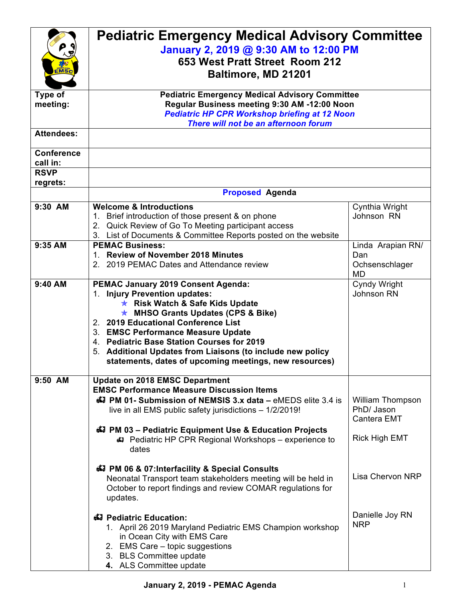| <b>IMSc</b>                                  | <b>Pediatric Emergency Medical Advisory Committee</b><br>January 2, 2019 @ 9:30 AM to 12:00 PM<br>653 West Pratt Street Room 212<br><b>Baltimore, MD 21201</b>                                                                                                                                                                                                                                                               |                                                                       |  |
|----------------------------------------------|------------------------------------------------------------------------------------------------------------------------------------------------------------------------------------------------------------------------------------------------------------------------------------------------------------------------------------------------------------------------------------------------------------------------------|-----------------------------------------------------------------------|--|
| Type of<br>meeting:                          | <b>Pediatric Emergency Medical Advisory Committee</b><br>Regular Business meeting 9:30 AM -12:00 Noon<br><b>Pediatric HP CPR Workshop briefing at 12 Noon</b><br>There will not be an afternoon forum                                                                                                                                                                                                                        |                                                                       |  |
| <b>Attendees:</b>                            |                                                                                                                                                                                                                                                                                                                                                                                                                              |                                                                       |  |
| <b>Conference</b><br>call in:<br><b>RSVP</b> |                                                                                                                                                                                                                                                                                                                                                                                                                              |                                                                       |  |
| regrets:                                     |                                                                                                                                                                                                                                                                                                                                                                                                                              |                                                                       |  |
|                                              | <b>Proposed Agenda</b>                                                                                                                                                                                                                                                                                                                                                                                                       |                                                                       |  |
| 9:30 AM                                      | <b>Welcome &amp; Introductions</b><br>1. Brief introduction of those present & on phone<br>2. Quick Review of Go To Meeting participant access<br>List of Documents & Committee Reports posted on the website<br>3.                                                                                                                                                                                                          | Cynthia Wright<br>Johnson RN                                          |  |
| $9:35$ AM                                    | <b>PEMAC Business:</b><br>1. Review of November 2018 Minutes<br>2. 2019 PEMAC Dates and Attendance review                                                                                                                                                                                                                                                                                                                    | Linda Arapian RN/<br>Dan<br>Ochsenschlager<br><b>MD</b>               |  |
| 9:40 AM                                      | <b>PEMAC January 2019 Consent Agenda:</b><br>1. Injury Prevention updates:<br><b>★ Risk Watch &amp; Safe Kids Update</b><br><b>★ MHSO Grants Updates (CPS &amp; Bike)</b><br>2. 2019 Educational Conference List<br>3. EMSC Performance Measure Update<br>4. Pediatric Base Station Courses for 2019<br>5. Additional Updates from Liaisons (to include new policy<br>statements, dates of upcoming meetings, new resources) | Cyndy Wright<br>Johnson RN                                            |  |
| 9:50 AM                                      | <b>Update on 2018 EMSC Department</b><br><b>EMSC Performance Measure Discussion Items</b><br>47 PM 01- Submission of NEMSIS 3.x data - eMEDS elite 3.4 is<br>live in all EMS public safety jurisdictions - 1/2/2019!<br>447 PM 03 - Pediatric Equipment Use & Education Projects<br>#7 Pediatric HP CPR Regional Workshops - experience to<br>dates<br>47 PM 06 & 07: Interfacility & Special Consults                       | William Thompson<br>PhD/ Jason<br>Cantera EMT<br><b>Rick High EMT</b> |  |
|                                              | Neonatal Transport team stakeholders meeting will be held in<br>October to report findings and review COMAR regulations for<br>updates.<br>47 Pediatric Education:<br>1. April 26 2019 Maryland Pediatric EMS Champion workshop<br>in Ocean City with EMS Care<br>2. EMS Care - topic suggestions<br>3. BLS Committee update<br>4. ALS Committee update                                                                      | Lisa Chervon NRP<br>Danielle Joy RN<br><b>NRP</b>                     |  |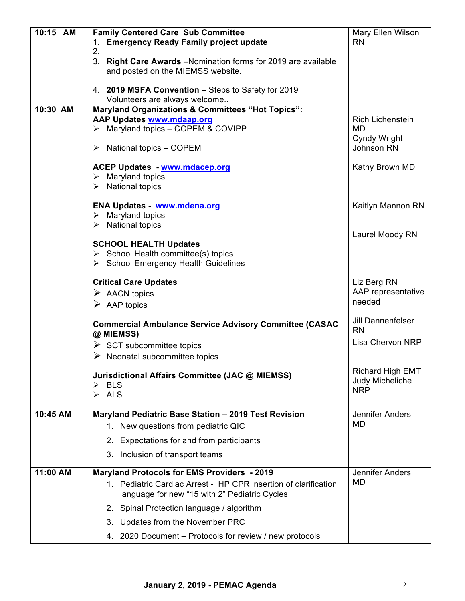| 10:15 AM | <b>Family Centered Care Sub Committee</b>                                                 | Mary Ellen Wilson                          |
|----------|-------------------------------------------------------------------------------------------|--------------------------------------------|
|          | 1. Emergency Ready Family project update                                                  | <b>RN</b>                                  |
|          | 2.<br>3. Right Care Awards -Nomination forms for 2019 are available                       |                                            |
|          | and posted on the MIEMSS website.                                                         |                                            |
|          |                                                                                           |                                            |
|          | 4. 2019 MSFA Convention - Steps to Safety for 2019<br>Volunteers are always welcome       |                                            |
| 10:30 AM | <b>Maryland Organizations &amp; Committees "Hot Topics":</b>                              |                                            |
|          | <b>AAP Updates www.mdaap.org</b>                                                          | <b>Rich Lichenstein</b>                    |
|          | > Maryland topics - COPEM & COVIPP                                                        | <b>MD</b>                                  |
|          | National topics - COPEM<br>➤                                                              | Cyndy Wright<br>Johnson RN                 |
|          |                                                                                           |                                            |
|          | <b>ACEP Updates - www.mdacep.org</b>                                                      | Kathy Brown MD                             |
|          | $\triangleright$ Maryland topics                                                          |                                            |
|          | $\triangleright$ National topics                                                          |                                            |
|          | ENA Updates - www.mdena.org                                                               | Kaitlyn Mannon RN                          |
|          | $\triangleright$ Maryland topics                                                          |                                            |
|          | $\triangleright$ National topics                                                          |                                            |
|          | <b>SCHOOL HEALTH Updates</b>                                                              | Laurel Moody RN                            |
|          | $\triangleright$ School Health committee(s) topics                                        |                                            |
|          | > School Emergency Health Guidelines                                                      |                                            |
|          | <b>Critical Care Updates</b>                                                              | Liz Berg RN                                |
|          | $\triangleright$ AACN topics                                                              | AAP representative                         |
|          | $\triangleright$ AAP topics                                                               | needed                                     |
|          |                                                                                           |                                            |
|          | <b>Commercial Ambulance Service Advisory Committee (CASAC</b>                             | Jill Dannenfelser<br><b>RN</b>             |
|          | @ MIEMSS)                                                                                 | Lisa Chervon NRP                           |
|          | $\triangleright$ SCT subcommittee topics<br>$\triangleright$ Neonatal subcommittee topics |                                            |
|          |                                                                                           |                                            |
|          | Jurisdictional Affairs Committee (JAC @ MIEMSS)                                           | <b>Richard High EMT</b><br>Judy Micheliche |
|          | <b>BLS</b><br>$\blacktriangleright$<br>ALS<br>➤                                           | <b>NRP</b>                                 |
|          |                                                                                           |                                            |
| 10:45 AM | Maryland Pediatric Base Station - 2019 Test Revision                                      | Jennifer Anders                            |
|          | 1. New questions from pediatric QIC                                                       | MD                                         |
|          | Expectations for and from participants<br>2.                                              |                                            |
|          | Inclusion of transport teams<br>3.                                                        |                                            |
| 11:00 AM | <b>Maryland Protocols for EMS Providers - 2019</b>                                        | Jennifer Anders                            |
|          | 1. Pediatric Cardiac Arrest - HP CPR insertion of clarification                           | <b>MD</b>                                  |
|          | language for new "15 with 2" Pediatric Cycles                                             |                                            |
|          | 2. Spinal Protection language / algorithm                                                 |                                            |
|          | 3. Updates from the November PRC                                                          |                                            |
|          | 4. 2020 Document – Protocols for review / new protocols                                   |                                            |